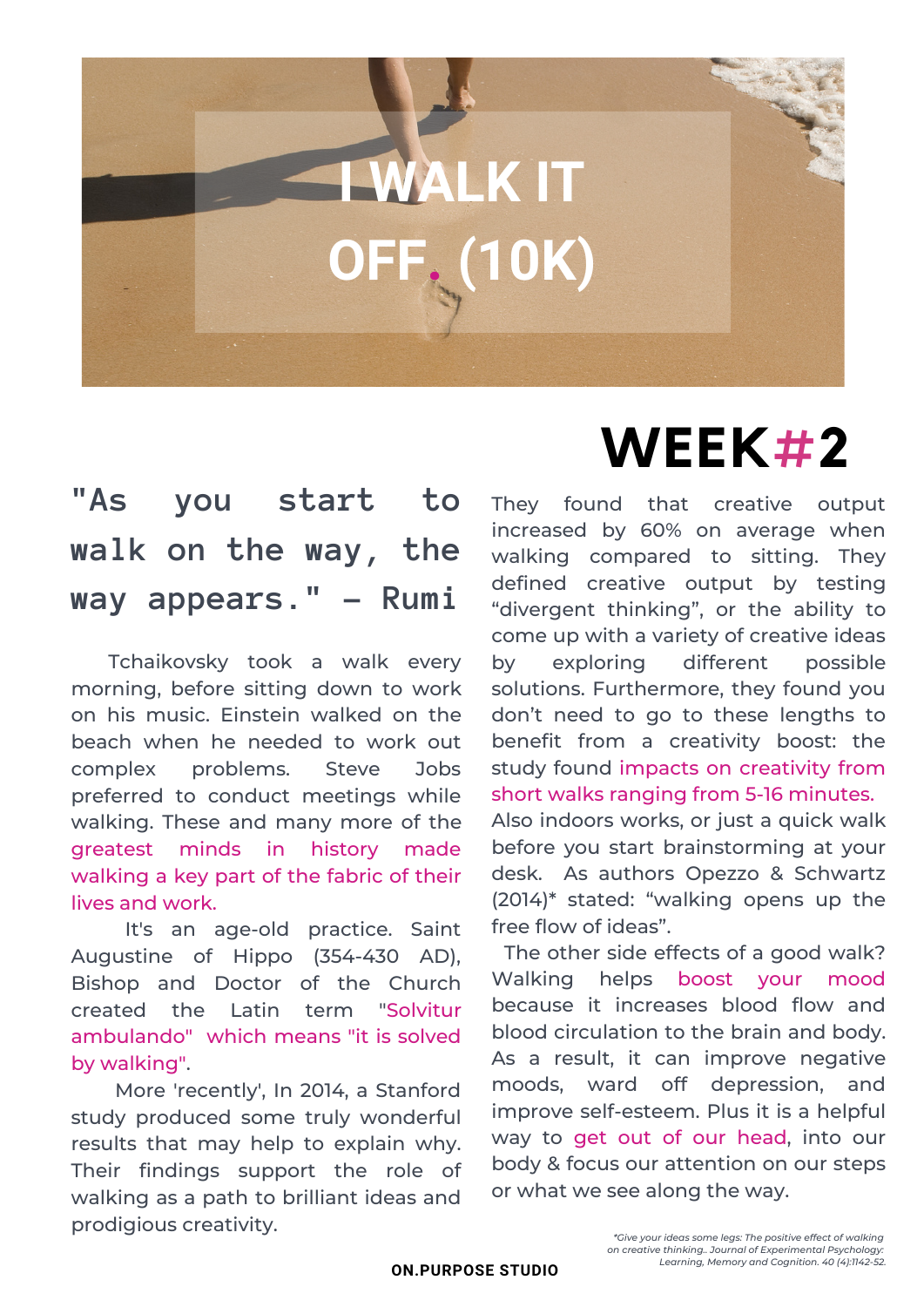# **I WALK IT OFF. (10K)**

#### **"As you start to walk on the way, the way appears." - Rumi**

Tchaikovsky took a walk every morning, before sitting down to work on his music. Einstein walked on the beach when he needed to work out complex problems. Steve Jobs preferred to conduct meetings while walking. These and many more of the greatest minds in history made walking a key part of the fabric of their lives and work.

It's an age-old practice. Saint Augustine of Hippo (354-430 AD), Bishop and Doctor of the Church created the Latin term "Solvitur ambulando" which means "it is solved by walking".

More 'recently', In 2014, a Stanford [study](https://www.ncbi.nlm.nih.gov/pubmed/24749966) produced some truly wonderful results that may help to explain why. Their findings support the role of walking as a path to brilliant ideas and prodigious [creativity](https://www.psychologytoday.com/us/basics/creativity).

## **WEEK#2**

They found that creative output increased by 60% on average when walking compared to sitting. They defined creative output by testing "divergent thinking", or the ability to come up with a variety of creative ideas by exploring different possible solutions. Furthermore, they found you don't need to go to these lengths to benefit from a creativity boost: the study found impacts on creativity from short walks ranging from 5-16 minutes.

Also indoors works, or just a quick walk before you start brainstorming at your desk. As authors Opezzo & Schwartz (2014)\* stated: "walking opens up the free flow of ideas".

The other side effects of a good walk? Walking helps boost your mood because it increases blood flow and blood circulation to the brain and body. As a result, it can improve negative moods, ward off depression, and improve self-esteem. Plus it is a helpful way to get out of our head, into our body & focus our attention on our steps or what we see along the way.